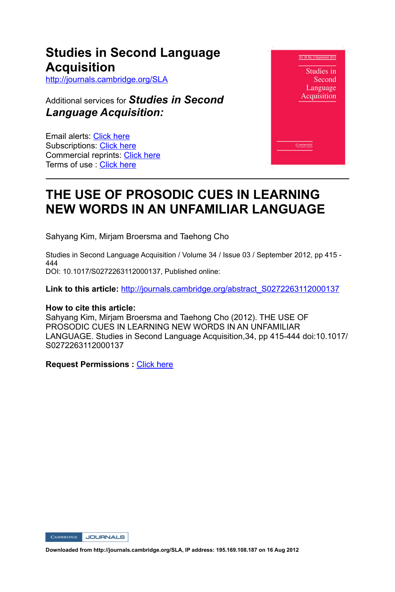# **Studies in Second Language Acquisition**

http://journals.cambridge.org/SLA

Additional services for *Studies in Second Language Acquisition:*

Email alerts: Click here Subscriptions: Click here Commercial reprints: Click here Terms of use : Click here



# **THE USE OF PROSODIC CUES IN LEARNING NEW WORDS IN AN UNFAMILIAR LANGUAGE**

Sahyang Kim, Mirjam Broersma and Taehong Cho

Studies in Second Language Acquisition / Volume 34 / Issue 03 / September 2012, pp 415 444 DOI: 10.1017/S0272263112000137, Published online:

Link to this article: http://journals.cambridge.org/abstract\_S0272263112000137

#### **How to cite this article:**

Sahyang Kim, Mirjam Broersma and Taehong Cho (2012). THE USE OF PROSODIC CUES IN LEARNING NEW WORDS IN AN UNFAMILIAR LANGUAGE. Studies in Second Language Acquisition, 34, pp 415-444 doi:10.1017/ S0272263112000137

**Request Permissions :** Click here

CAMBRIDGE JOURNALS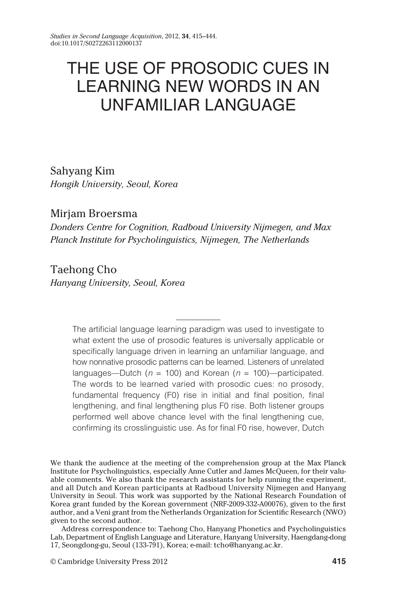# THE USE OF PROSODIC CUES IN LEARNING NEW WORDS IN AN UNFAMILIAR LANGUAGE

Sahyang Kim *Hongik University , Seoul , Korea* 

# Mirjam Broersma

*Donders Centre for Cognition, Radboud University Nijmegen, and Max Planck Institute for Psycholinguistics, Nijmegen, The Netherlands* 

Taehong Cho *Hanyang University , Seoul , Korea* 

> The artificial language learning paradigm was used to investigate to what extent the use of prosodic features is universally applicable or specifically language driven in learning an unfamiliar language, and how nonnative prosodic patterns can be learned. Listeners of unrelated languages—Dutch ( $n = 100$ ) and Korean ( $n = 100$ )—participated. The words to be learned varied with prosodic cues: no prosody, fundamental frequency (F0) rise in initial and final position, final lengthening, and final lengthening plus F0 rise. Both listener groups performed well above chance level with the final lengthening cue, confirming its crosslinguistic use. As for final F0 rise, however, Dutch

We thank the audience at the meeting of the comprehension group at the Max Planck Institute for Psycholinguistics, especially Anne Cutler and James McQueen, for their valuable comments. We also thank the research assistants for help running the experiment, and all Dutch and Korean participants at Radboud University Nijmegen and Hanyang University in Seoul. This work was supported by the National Research Foundation of Korea grant funded by the Korean government (NRF-2009-332-A00076), given to the first author, and a Veni grant from the Netherlands Organization for Scientific Research (NWO) given to the second author.

Address correspondence to: Taehong Cho, Hanyang Phonetics and Psycholinguistics Lab, Department of English Language and Literature, Hanyang University, Haengdang-dong 17, Seongdong-gu, Seoul (133-791), Korea; e-mail: tcho@hanyang.ac.kr .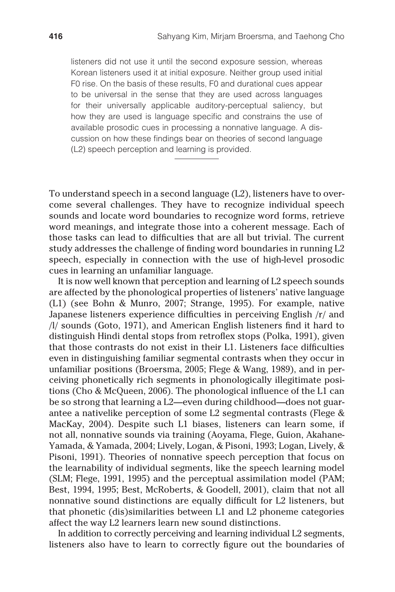listeners did not use it until the second exposure session, whereas Korean listeners used it at initial exposure. Neither group used initial F0 rise. On the basis of these results, F0 and durational cues appear to be universal in the sense that they are used across languages for their universally applicable auditory-perceptual saliency, but how they are used is language specific and constrains the use of available prosodic cues in processing a nonnative language. A discussion on how these findings bear on theories of second language (L2) speech perception and learning is provided.

To understand speech in a second language (L2), listeners have to overcome several challenges. They have to recognize individual speech sounds and locate word boundaries to recognize word forms, retrieve word meanings, and integrate those into a coherent message. Each of those tasks can lead to difficulties that are all but trivial. The current study addresses the challenge of finding word boundaries in running L2 speech, especially in connection with the use of high-level prosodic cues in learning an unfamiliar language.

It is now well known that perception and learning of L2 speech sounds are affected by the phonological properties of listeners' native language (L1) (see Bohn & Munro, 2007; Strange, 1995). For example, native Japanese listeners experience difficulties in perceiving English  $/r/$  and  $\frac{1}{3}$  sounds (Goto, 1971), and American English listeners find it hard to distinguish Hindi dental stops from retroflex stops (Polka, 1991), given that those contrasts do not exist in their L1. Listeners face difficulties even in distinguishing familiar segmental contrasts when they occur in unfamiliar positions (Broersma, 2005; Flege & Wang, 1989), and in perceiving phonetically rich segments in phonologically illegitimate positions (Cho  $&$  McOueen, 2006). The phonological influence of the L1 can be so strong that learning a L2—even during childhood—does not guarantee a nativelike perception of some L2 segmental contrasts (Flege & MacKay, 2004). Despite such L1 biases, listeners can learn some, if not all, nonnative sounds via training (Aoyama, Flege, Guion, Akahane-Yamada, & Yamada, 2004; Lively, Logan, & Pisoni, 1993; Logan, Lively, & Pisoni, 1991). Theories of nonnative speech perception that focus on the learnability of individual segments, like the speech learning model (SLM; Flege, 1991, 1995) and the perceptual assimilation model (PAM; Best, 1994, 1995; Best, McRoberts, & Goodell, 2001), claim that not all nonnative sound distinctions are equally difficult for L2 listeners, but that phonetic (dis)similarities between L1 and L2 phoneme categories affect the way L2 learners learn new sound distinctions.

In addition to correctly perceiving and learning individual L2 segments, listeners also have to learn to correctly figure out the boundaries of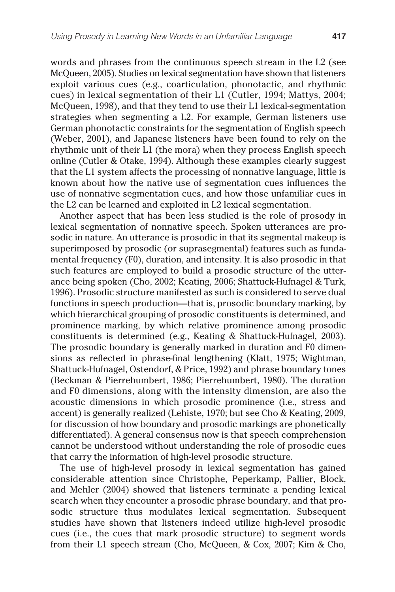words and phrases from the continuous speech stream in the L2 (see McQueen, 2005). Studies on lexical segmentation have shown that listeners exploit various cues (e.g., coarticulation, phonotactic, and rhythmic cues) in lexical segmentation of their L1 (Cutler, 1994; Mattys, 2004; McQueen, 1998 ), and that they tend to use their L1 lexical-segmentation strategies when segmenting a L2. For example, German listeners use German phonotactic constraints for the segmentation of English speech (Weber, 2001), and Japanese listeners have been found to rely on the rhythmic unit of their L1 (the mora) when they process English speech online (Cutler & Otake, 1994). Although these examples clearly suggest that the L1 system affects the processing of nonnative language, little is known about how the native use of segmentation cues influences the use of nonnative segmentation cues, and how those unfamiliar cues in the L2 can be learned and exploited in L2 lexical segmentation.

Another aspect that has been less studied is the role of prosody in lexical segmentation of nonnative speech. Spoken utterances are prosodic in nature. An utterance is prosodic in that its segmental makeup is superimposed by prosodic (or suprasegmental) features such as fundamental frequency (F0), duration, and intensity. It is also prosodic in that such features are employed to build a prosodic structure of the utterance being spoken (Cho, 2002; Keating, 2006; Shattuck-Hufnagel & Turk, 1996). Prosodic structure manifested as such is considered to serve dual functions in speech production—that is, prosodic boundary marking, by which hierarchical grouping of prosodic constituents is determined, and prominence marking, by which relative prominence among prosodic constituents is determined (e.g., Keating & Shattuck-Hufnagel, 2003 ). The prosodic boundary is generally marked in duration and F0 dimensions as reflected in phrase-final lengthening (Klatt, 1975; Wightman, Shattuck-Hufnagel, Ostendorf, & Price, 1992 ) and phrase boundary tones (Beckman & Pierrehumbert, 1986; Pierrehumbert, 1980). The duration and F0 dimensions, along with the intensity dimension, are also the acoustic dimensions in which prosodic prominence (i.e., stress and accent) is generally realized (Lehiste, 1970; but see Cho & Keating, 2009, for discussion of how boundary and prosodic markings are phonetically differentiated). A general consensus now is that speech comprehension cannot be understood without understanding the role of prosodic cues that carry the information of high-level prosodic structure.

The use of high-level prosody in lexical segmentation has gained considerable attention since Christophe, Peperkamp, Pallier, Block, and Mehler (2004) showed that listeners terminate a pending lexical search when they encounter a prosodic phrase boundary, and that prosodic structure thus modulates lexical segmentation. Subsequent studies have shown that listeners indeed utilize high-level prosodic cues (i.e., the cues that mark prosodic structure) to segment words from their L1 speech stream (Cho, McQueen, & Cox, 2007; Kim & Cho,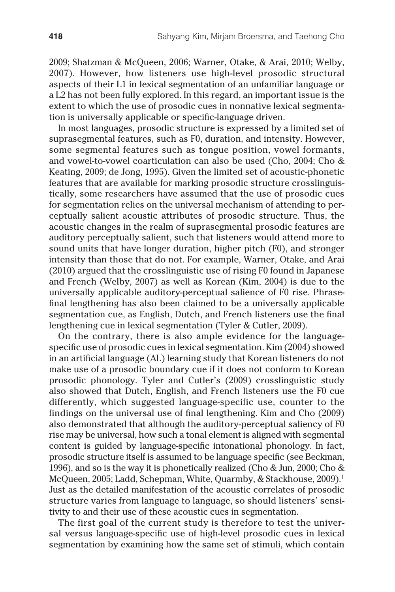2009; Shatzman & McQueen, 2006; Warner, Otake, & Arai, 2010; Welby, 2007). However, how listeners use high-level prosodic structural aspects of their L1 in lexical segmentation of an unfamiliar language or a L2 has not been fully explored. In this regard, an important issue is the extent to which the use of prosodic cues in nonnative lexical segmentation is universally applicable or specific-language driven.

In most languages, prosodic structure is expressed by a limited set of suprasegmental features, such as F0, duration, and intensity. However, some segmental features such as tongue position, vowel formants, and vowel-to-vowel coarticulation can also be used (Cho,  $2004$ ; Cho & Keating, 2009; de Jong, 1995). Given the limited set of acoustic-phonetic features that are available for marking prosodic structure crosslinguistically, some researchers have assumed that the use of prosodic cues for segmentation relies on the universal mechanism of attending to perceptually salient acoustic attributes of prosodic structure. Thus, the acoustic changes in the realm of suprasegmental prosodic features are auditory perceptually salient, such that listeners would attend more to sound units that have longer duration, higher pitch (F0), and stronger intensity than those that do not. For example, Warner, Otake, and Arai  $(2010)$  argued that the crosslinguistic use of rising F0 found in Japanese and French (Welby, 2007) as well as Korean (Kim, 2004) is due to the universally applicable auditory-perceptual salience of F0 rise. Phrasefinal lengthening has also been claimed to be a universally applicable segmentation cue, as English, Dutch, and French listeners use the final lengthening cue in lexical segmentation (Tyler & Cutler, 2009).

On the contrary, there is also ample evidence for the languagespecific use of prosodic cues in lexical segmentation. Kim (2004) showed in an artificial language (AL) learning study that Korean listeners do not make use of a prosodic boundary cue if it does not conform to Korean prosodic phonology. Tyler and Cutler's (2009) crosslinguistic study also showed that Dutch, English, and French listeners use the F0 cue differently, which suggested language-specific use, counter to the findings on the universal use of final lengthening. Kim and Cho  $(2009)$ also demonstrated that although the auditory-perceptual saliency of F0 rise may be universal, how such a tonal element is aligned with segmental content is guided by language-specific intonational phonology. In fact, prosodic structure itself is assumed to be language specific (see Beckman, 1996), and so is the way it is phonetically realized (Cho & Jun, 2000: Cho & McQueen, 2005; Ladd, Schepman, White, Quarmby, & Stackhouse, 2009).<sup>1</sup> Just as the detailed manifestation of the acoustic correlates of prosodic structure varies from language to language, so should listeners' sensitivity to and their use of these acoustic cues in segmentation.

The first goal of the current study is therefore to test the universal versus language-specific use of high-level prosodic cues in lexical segmentation by examining how the same set of stimuli, which contain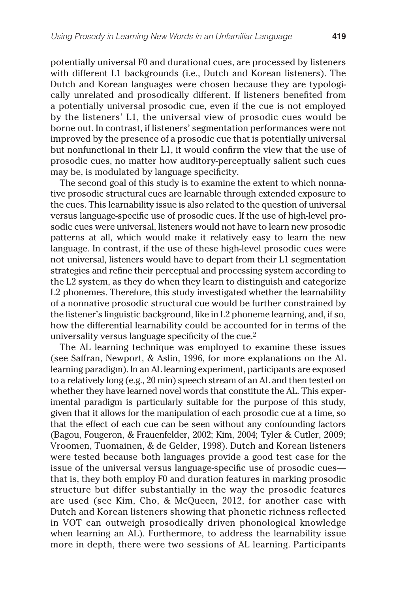potentially universal F0 and durational cues, are processed by listeners with different L1 backgrounds (i.e., Dutch and Korean listeners). The Dutch and Korean languages were chosen because they are typologically unrelated and prosodically different. If listeners benefited from a potentially universal prosodic cue, even if the cue is not employed by the listeners' L1, the universal view of prosodic cues would be borne out. In contrast, if listeners' segmentation performances were not improved by the presence of a prosodic cue that is potentially universal but nonfunctional in their L1, it would confirm the view that the use of prosodic cues, no matter how auditory-perceptually salient such cues may be, is modulated by language specificity.

The second goal of this study is to examine the extent to which nonnative prosodic structural cues are learnable through extended exposure to the cues. This learnability issue is also related to the question of universal versus language-specific use of prosodic cues. If the use of high-level prosodic cues were universal, listeners would not have to learn new prosodic patterns at all, which would make it relatively easy to learn the new language. In contrast, if the use of these high-level prosodic cues were not universal, listeners would have to depart from their L1 segmentation strategies and refine their perceptual and processing system according to the L2 system, as they do when they learn to distinguish and categorize L2 phonemes. Therefore, this study investigated whether the learnability of a nonnative prosodic structural cue would be further constrained by the listener's linguistic background, like in L2 phoneme learning, and, if so, how the differential learnability could be accounted for in terms of the universality versus language specificity of the cue.<sup>2</sup>

The AL learning technique was employed to examine these issues (see Saffran, Newport, & Aslin, 1996 , for more explanations on the AL learning paradigm). In an AL learning experiment, participants are exposed to a relatively long (e.g., 20 min) speech stream of an AL and then tested on whether they have learned novel words that constitute the AL. This experimental paradigm is particularly suitable for the purpose of this study, given that it allows for the manipulation of each prosodic cue at a time, so that the effect of each cue can be seen without any confounding factors (Bagou, Fougeron, & Frauenfelder, 2002; Kim, 2004; Tyler & Cutler, 2009; Vroomen, Tuomainen, & de Gelder, 1998 ). Dutch and Korean listeners were tested because both languages provide a good test case for the issue of the universal versus language-specific use of prosodic cues that is, they both employ F0 and duration features in marking prosodic structure but differ substantially in the way the prosodic features are used (see Kim, Cho, & McQueen, 2012, for another case with Dutch and Korean listeners showing that phonetic richness reflected in VOT can outweigh prosodically driven phonological knowledge when learning an AL). Furthermore, to address the learnability issue more in depth, there were two sessions of AL learning. Participants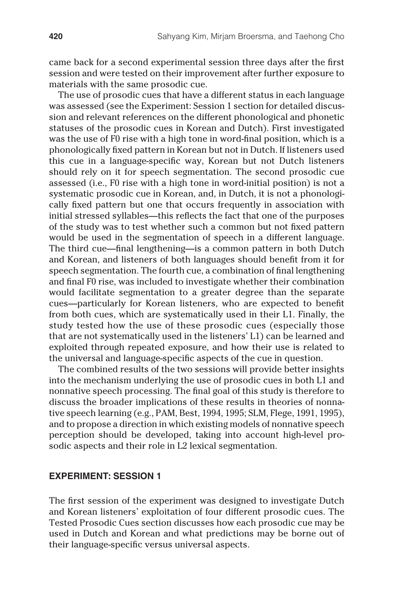came back for a second experimental session three days after the first session and were tested on their improvement after further exposure to materials with the same prosodic cue.

The use of prosodic cues that have a different status in each language was assessed (see the Experiment: Session 1 section for detailed discussion and relevant references on the different phonological and phonetic statuses of the prosodic cues in Korean and Dutch). First investigated was the use of F0 rise with a high tone in word-final position, which is a phonologically fixed pattern in Korean but not in Dutch. If listeners used this cue in a language-specific way, Korean but not Dutch listeners should rely on it for speech segmentation. The second prosodic cue assessed (i.e., F0 rise with a high tone in word-initial position) is not a systematic prosodic cue in Korean, and, in Dutch, it is not a phonologically fixed pattern but one that occurs frequently in association with initial stressed syllables—this reflects the fact that one of the purposes of the study was to test whether such a common but not fixed pattern would be used in the segmentation of speech in a different language. The third cue—final lengthening—is a common pattern in both Dutch and Korean, and listeners of both languages should benefit from it for speech segmentation. The fourth cue, a combination of final lengthening and final F0 rise, was included to investigate whether their combination would facilitate segmentation to a greater degree than the separate cues—particularly for Korean listeners, who are expected to benefit from both cues, which are systematically used in their L1. Finally, the study tested how the use of these prosodic cues (especially those that are not systematically used in the listeners' L1) can be learned and exploited through repeated exposure, and how their use is related to the universal and language-specific aspects of the cue in question.

The combined results of the two sessions will provide better insights into the mechanism underlying the use of prosodic cues in both L1 and nonnative speech processing. The final goal of this study is therefore to discuss the broader implications of these results in theories of nonnative speech learning (e.g., PAM, Best, 1994, 1995; SLM, Flege, 1991, 1995), and to propose a direction in which existing models of nonnative speech perception should be developed, taking into account high-level prosodic aspects and their role in L2 lexical segmentation.

#### **EXPERIMENT: SESSION 1**

The first session of the experiment was designed to investigate Dutch and Korean listeners' exploitation of four different prosodic cues. The Tested Prosodic Cues section discusses how each prosodic cue may be used in Dutch and Korean and what predictions may be borne out of their language-specific versus universal aspects.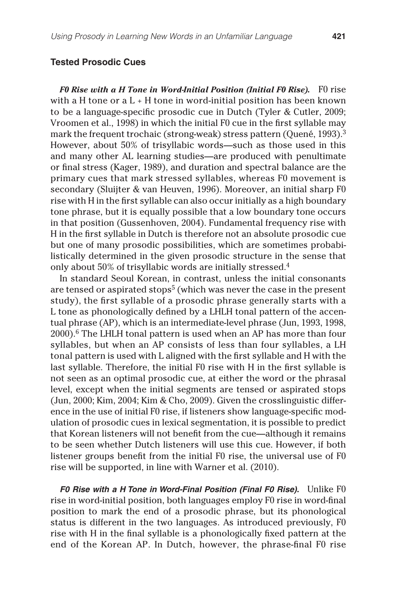#### **Tested Prosodic Cues**

*F0 Rise with a H Tone in Word-Initial Position (Initial F0 Rise).* F0 rise with a H tone or  $a L + H$  tone in word-initial position has been known to be a language-specific prosodic cue in Dutch (Tyler & Cutler, 2009; Vroomen et al., 1998) in which the initial  $F0$  cue in the first syllable may mark the frequent trochaic (strong-weak) stress pattern (Quené, 1993).<sup>3</sup> However, about 50% of trisyllabic words—such as those used in this and many other AL learning studies—are produced with penultimate or final stress (Kager, 1989), and duration and spectral balance are the primary cues that mark stressed syllables, whereas F0 movement is secondary (Sluijter & van Heuven, 1996). Moreover, an initial sharp F0 rise with H in the first syllable can also occur initially as a high boundary tone phrase, but it is equally possible that a low boundary tone occurs in that position (Gussenhoven, 2004). Fundamental frequency rise with H in the first syllable in Dutch is therefore not an absolute prosodic cue but one of many prosodic possibilities, which are sometimes probabilistically determined in the given prosodic structure in the sense that only about 50% of trisyllabic words are initially stressed. 4

In standard Seoul Korean, in contrast, unless the initial consonants are tensed or aspirated stops<sup>5</sup> (which was never the case in the present study), the first syllable of a prosodic phrase generally starts with a L tone as phonologically defined by a LHLH tonal pattern of the accentual phrase (AP), which is an intermediate-level phrase (Jun, 1993, 1998, 2000 ). 6 The LHLH tonal pattern is used when an AP has more than four syllables, but when an AP consists of less than four syllables, a LH tonal pattern is used with L aligned with the first syllable and H with the last syllable. Therefore, the initial F0 rise with H in the first syllable is not seen as an optimal prosodic cue, at either the word or the phrasal level, except when the initial segments are tensed or aspirated stops (Jun, 2000; Kim, 2004; Kim & Cho, 2009). Given the crosslinguistic difference in the use of initial F0 rise, if listeners show language-specific modulation of prosodic cues in lexical segmentation, it is possible to predict that Korean listeners will not benefit from the cue—although it remains to be seen whether Dutch listeners will use this cue. However, if both listener groups benefit from the initial  $F0$  rise, the universal use of  $F0$ rise will be supported, in line with Warner et al. (2010).

*F0 Rise with a H Tone in Word-Final Position (Final F0 Rise).* Unlike F0 rise in word-initial position, both languages employ F0 rise in word-final position to mark the end of a prosodic phrase, but its phonological status is different in the two languages. As introduced previously, F0 rise with H in the final syllable is a phonologically fixed pattern at the end of the Korean AP. In Dutch, however, the phrase-final F0 rise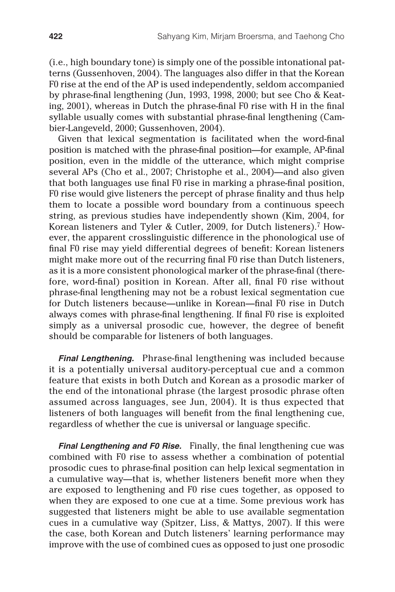(i.e., high boundary tone) is simply one of the possible intonational patterns (Gussenhoven, 2004). The languages also differ in that the Korean F0 rise at the end of the AP is used independently, seldom accompanied by phrase-final lengthening (Jun, 1993, 1998, 2000; but see Cho & Keating,  $2001$ ), whereas in Dutch the phrase-final F0 rise with H in the final syllable usually comes with substantial phrase-final lengthening (Cambier-Langeveld, 2000; Gussenhoven, 2004).

Given that lexical segmentation is facilitated when the word-final position is matched with the phrase-final position—for example, AP-final position, even in the middle of the utterance, which might comprise several APs (Cho et al., 2007; Christophe et al., 2004)—and also given that both languages use final F0 rise in marking a phrase-final position, F0 rise would give listeners the percept of phrase finality and thus help them to locate a possible word boundary from a continuous speech string, as previous studies have independently shown (Kim, 2004, for Korean listeners and Tyler & Cutler, 2009, for Dutch listeners).<sup>7</sup> However, the apparent crosslinguistic difference in the phonological use of final F0 rise may yield differential degrees of benefit: Korean listeners might make more out of the recurring final F0 rise than Dutch listeners, as it is a more consistent phonological marker of the phrase-final (therefore, word-final) position in Korean. After all, final F0 rise without phrase-final lengthening may not be a robust lexical segmentation cue for Dutch listeners because—unlike in Korean—final F0 rise in Dutch always comes with phrase-final lengthening. If final F0 rise is exploited simply as a universal prosodic cue, however, the degree of benefit should be comparable for listeners of both languages.

**Final Lengthening.** Phrase-final lengthening was included because it is a potentially universal auditory-perceptual cue and a common feature that exists in both Dutch and Korean as a prosodic marker of the end of the intonational phrase (the largest prosodic phrase often assumed across languages, see Jun, 2004). It is thus expected that listeners of both languages will benefit from the final lengthening cue, regardless of whether the cue is universal or language specific.

*Final Lengthening and F0 Rise.* Finally, the final lengthening cue was combined with F0 rise to assess whether a combination of potential prosodic cues to phrase-final position can help lexical segmentation in a cumulative way—that is, whether listeners benefit more when they are exposed to lengthening and F0 rise cues together, as opposed to when they are exposed to one cue at a time. Some previous work has suggested that listeners might be able to use available segmentation cues in a cumulative way (Spitzer, Liss, & Mattys, 2007). If this were the case, both Korean and Dutch listeners' learning performance may improve with the use of combined cues as opposed to just one prosodic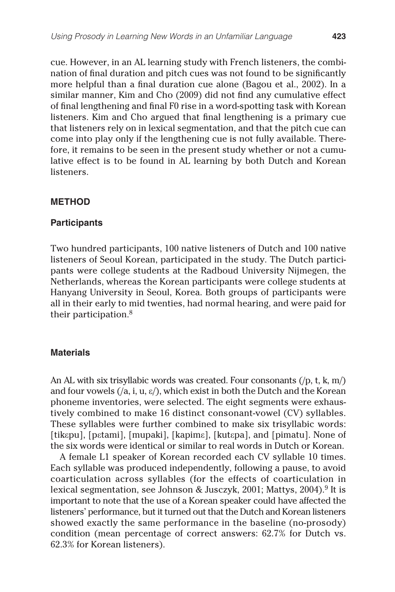cue. However, in an AL learning study with French listeners, the combination of final duration and pitch cues was not found to be significantly more helpful than a final duration cue alone (Bagou et al., 2002). In a similar manner, Kim and Cho (2009) did not find any cumulative effect of final lengthening and final F0 rise in a word-spotting task with Korean listeners. Kim and Cho argued that final lengthening is a primary cue that listeners rely on in lexical segmentation, and that the pitch cue can come into play only if the lengthening cue is not fully available. Therefore, it remains to be seen in the present study whether or not a cumulative effect is to be found in AL learning by both Dutch and Korean listeners.

#### **METHOD**

#### **Participants**

Two hundred participants, 100 native listeners of Dutch and 100 native listeners of Seoul Korean, participated in the study. The Dutch participants were college students at the Radboud University Nijmegen, the Netherlands, whereas the Korean participants were college students at Hanyang University in Seoul, Korea. Both groups of participants were all in their early to mid twenties, had normal hearing, and were paid for their participation. 8

#### **Materials**

An AL with six trisyllabic words was created. Four consonants  $(\rho, t, k, m)$ and four vowels  $((a, i, u, \varepsilon))$ , which exist in both the Dutch and the Korean phoneme inventories, were selected. The eight segments were exhaustively combined to make 16 distinct consonant-vowel (CV) syllables. These syllables were further combined to make six trisyllabic words: [tikepu], [petami], [mupaki], [kapime], [kutepa], and [pimatu]. None of the six words were identical or similar to real words in Dutch or Korean.

A female L1 speaker of Korean recorded each CV syllable 10 times. Each syllable was produced independently, following a pause, to avoid coarticulation across syllables (for the effects of coarticulation in lexical segmentation, see Johnson & Jusczyk, 2001; Mattys,  $2004$ .<sup>9</sup> It is important to note that the use of a Korean speaker could have affected the listeners' performance, but it turned out that the Dutch and Korean listeners showed exactly the same performance in the baseline (no-prosody) condition (mean percentage of correct answers: 62.7% for Dutch vs. 62.3% for Korean listeners).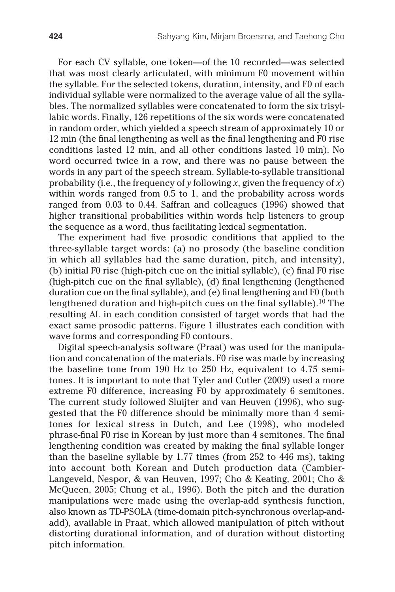For each CV syllable, one token—of the 10 recorded—was selected that was most clearly articulated, with minimum F0 movement within the syllable. For the selected tokens, duration, intensity, and F0 of each individual syllable were normalized to the average value of all the syllables. The normalized syllables were concatenated to form the six trisyllabic words. Finally, 126 repetitions of the six words were concatenated in random order, which yielded a speech stream of approximately 10 or 12 min (the final lengthening as well as the final lengthening and F0 rise conditions lasted 12 min, and all other conditions lasted 10 min). No word occurred twice in a row, and there was no pause between the words in any part of the speech stream. Syllable-to-syllable transitional probability (i.e., the frequency of *y* following *x*, given the frequency of *x*) within words ranged from 0.5 to 1, and the probability across words ranged from 0.03 to 0.44. Saffran and colleagues (1996) showed that higher transitional probabilities within words help listeners to group the sequence as a word, thus facilitating lexical segmentation.

The experiment had five prosodic conditions that applied to the three-syllable target words: (a) no prosody (the baseline condition in which all syllables had the same duration, pitch, and intensity), (b) initial  $F0$  rise (high-pitch cue on the initial syllable), (c) final  $F0$  rise (high-pitch cue on the final syllable),  $(d)$  final lengthening (lengthened duration cue on the final syllable), and  $(e)$  final lengthening and F0 (both lengthened duration and high-pitch cues on the final syllable).<sup>10</sup> The resulting AL in each condition consisted of target words that had the exact same prosodic patterns. Figure 1 illustrates each condition with wave forms and corresponding F0 contours.

Digital speech-analysis software (Praat) was used for the manipulation and concatenation of the materials. F0 rise was made by increasing the baseline tone from 190 Hz to 250 Hz, equivalent to 4.75 semitones. It is important to note that Tyler and Cutler (2009) used a more extreme F0 difference, increasing F0 by approximately 6 semitones. The current study followed Sluijter and van Heuven (1996), who suggested that the F0 difference should be minimally more than 4 semitones for lexical stress in Dutch, and Lee (1998), who modeled phrase-final F0 rise in Korean by just more than 4 semitones. The final lengthening condition was created by making the final syllable longer than the baseline syllable by 1.77 times (from 252 to 446 ms), taking into account both Korean and Dutch production data (Cambier-Langeveld, Nespor, & van Heuven, 1997; Cho & Keating, 2001; Cho & McQueen, 2005; Chung et al., 1996). Both the pitch and the duration manipulations were made using the overlap-add synthesis function, also known as TD-PSOLA (time-domain pitch-synchronous overlap-andadd), available in Praat, which allowed manipulation of pitch without distorting durational information, and of duration without distorting pitch information.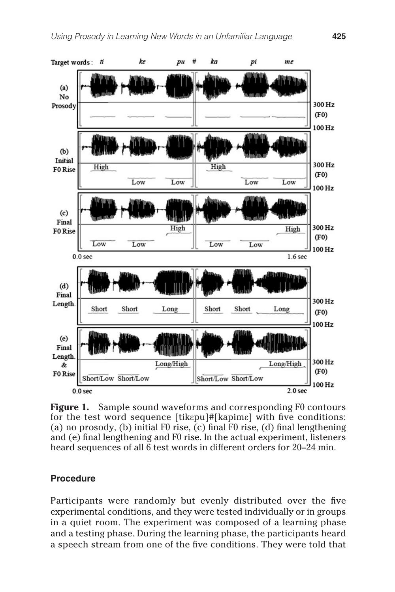

**Figure 1.** Sample sound waveforms and corresponding F0 contours for the test word sequence [tike pu]#[kapim ε] with five conditions: (a) no prosody, (b) initial  $F0$  rise, (c) final  $F0$  rise, (d) final lengthening and (e) final lengthening and F0 rise. In the actual experiment, listeners heard sequences of all 6 test words in different orders for 20–24 min.

#### **Procedure**

Participants were randomly but evenly distributed over the five experimental conditions, and they were tested individually or in groups in a quiet room. The experiment was composed of a learning phase and a testing phase. During the learning phase, the participants heard a speech stream from one of the five conditions. They were told that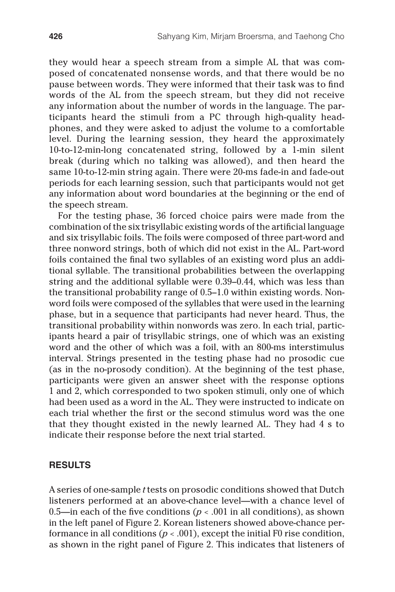they would hear a speech stream from a simple AL that was composed of concatenated nonsense words, and that there would be no pause between words. They were informed that their task was to find words of the AL from the speech stream, but they did not receive any information about the number of words in the language. The participants heard the stimuli from a PC through high-quality headphones, and they were asked to adjust the volume to a comfortable level. During the learning session, they heard the approximately 10-to-12-min-long concatenated string, followed by a 1-min silent break (during which no talking was allowed), and then heard the same 10-to-12-min string again. There were 20-ms fade-in and fade-out periods for each learning session, such that participants would not get any information about word boundaries at the beginning or the end of the speech stream.

For the testing phase, 36 forced choice pairs were made from the combination of the six trisyllabic existing words of the artificial language and six trisyllabic foils. The foils were composed of three part-word and three nonword strings, both of which did not exist in the AL. Part-word foils contained the final two syllables of an existing word plus an additional syllable. The transitional probabilities between the overlapping string and the additional syllable were 0.39–0.44, which was less than the transitional probability range of 0.5–1.0 within existing words. Nonword foils were composed of the syllables that were used in the learning phase, but in a sequence that participants had never heard. Thus, the transitional probability within nonwords was zero. In each trial, participants heard a pair of trisyllabic strings, one of which was an existing word and the other of which was a foil, with an 800-ms interstimulus interval. Strings presented in the testing phase had no prosodic cue (as in the no-prosody condition). At the beginning of the test phase, participants were given an answer sheet with the response options 1 and 2, which corresponded to two spoken stimuli, only one of which had been used as a word in the AL. They were instructed to indicate on each trial whether the first or the second stimulus word was the one that they thought existed in the newly learned AL. They had 4 s to indicate their response before the next trial started.

#### **RESULTS**

A series of one-sample *t* tests on prosodic conditions showed that Dutch listeners performed at an above-chance level—with a chance level of 0.5—in each of the five conditions ( $p < .001$  in all conditions), as shown in the left panel of Figure 2. Korean listeners showed above-chance performance in all conditions ( $p < .001$ ), except the initial F0 rise condition, as shown in the right panel of Figure 2. This indicates that listeners of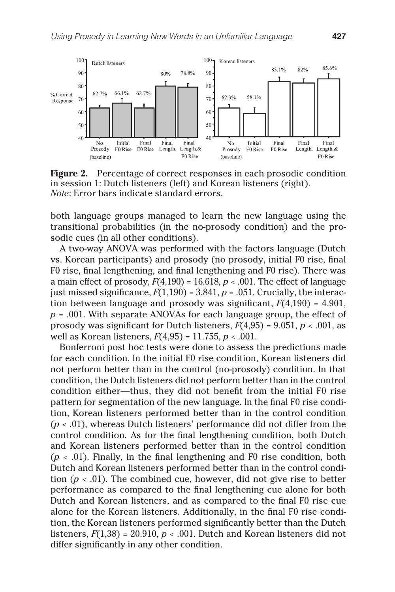

**Figure 2.** Percentage of correct responses in each prosodic condition in session 1: Dutch listeners (left) and Korean listeners (right). *Note*: Error bars indicate standard errors.

both language groups managed to learn the new language using the transitional probabilities (in the no-prosody condition) and the prosodic cues (in all other conditions).

A two-way ANOVA was performed with the factors language (Dutch vs. Korean participants) and prosody (no prosody, initial F0 rise, final F0 rise, final lengthening, and final lengthening and F0 rise). There was a main effect of prosody,  $F(4,190) = 16.618$ ,  $p < .001$ . The effect of language just missed significance,  $F(1,190) = 3.841$ ,  $p = .051$ . Crucially, the interaction between language and prosody was significant,  $F(4,190) = 4.901$ , *p* = .001. With separate ANOVAs for each language group, the effect of prosody was significant for Dutch listeners,  $F(4,95) = 9.051$ ,  $p < .001$ , as well as Korean listeners, *F*(4,95) = 11.755, *p* < .001.

Bonferroni post hoc tests were done to assess the predictions made for each condition. In the initial F0 rise condition, Korean listeners did not perform better than in the control (no-prosody) condition. In that condition, the Dutch listeners did not perform better than in the control condition either—thus, they did not benefit from the initial F0 rise pattern for segmentation of the new language. In the final F0 rise condition, Korean listeners performed better than in the control condition  $(p < .01)$ , whereas Dutch listeners' performance did not differ from the control condition. As for the final lengthening condition, both Dutch and Korean listeners performed better than in the control condition  $(p < .01)$ . Finally, in the final lengthening and F0 rise condition, both Dutch and Korean listeners performed better than in the control condition  $(p \nvert 0.01)$ . The combined cue, however, did not give rise to better performance as compared to the final lengthening cue alone for both Dutch and Korean listeners, and as compared to the final F0 rise cue alone for the Korean listeners. Additionally, in the final F0 rise condition, the Korean listeners performed significantly better than the Dutch listeners,  $F(1,38) = 20.910$ ,  $p < .001$ . Dutch and Korean listeners did not differ significantly in any other condition.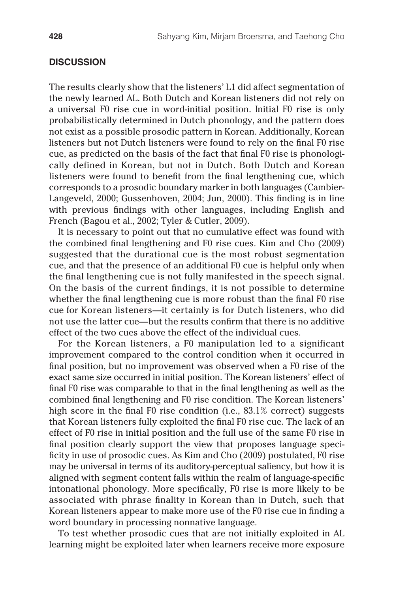#### **DISCUSSION**

The results clearly show that the listeners' L1 did affect segmentation of the newly learned AL. Both Dutch and Korean listeners did not rely on a universal F0 rise cue in word-initial position. Initial F0 rise is only probabilistically determined in Dutch phonology, and the pattern does not exist as a possible prosodic pattern in Korean. Additionally, Korean listeners but not Dutch listeners were found to rely on the final F0 rise cue, as predicted on the basis of the fact that final F0 rise is phonologically defined in Korean, but not in Dutch. Both Dutch and Korean listeners were found to benefit from the final lengthening cue, which corresponds to a prosodic boundary marker in both languages (Cambier-Langeveld, 2000; Gussenhoven, 2004; Jun, 2000). This finding is in line with previous findings with other languages, including English and French (Bagou et al., 2002; Tyler & Cutler, 2009).

It is necessary to point out that no cumulative effect was found with the combined final lengthening and  $F0$  rise cues. Kim and Cho  $(2009)$ suggested that the durational cue is the most robust segmentation cue, and that the presence of an additional F0 cue is helpful only when the final lengthening cue is not fully manifested in the speech signal. On the basis of the current findings, it is not possible to determine whether the final lengthening cue is more robust than the final F0 rise cue for Korean listeners—it certainly is for Dutch listeners, who did not use the latter cue—but the results confirm that there is no additive effect of the two cues above the effect of the individual cues.

For the Korean listeners, a F0 manipulation led to a significant improvement compared to the control condition when it occurred in final position, but no improvement was observed when a F0 rise of the exact same size occurred in initial position. The Korean listeners' effect of final F0 rise was comparable to that in the final lengthening as well as the combined final lengthening and F0 rise condition. The Korean listeners' high score in the final F0 rise condition (i.e.,  $83.1\%$  correct) suggests that Korean listeners fully exploited the final F0 rise cue. The lack of an effect of F0 rise in initial position and the full use of the same F0 rise in final position clearly support the view that proposes language specificity in use of prosodic cues. As Kim and Cho (2009) postulated, F0 rise may be universal in terms of its auditory-perceptual saliency, but how it is aligned with segment content falls within the realm of language-specific intonational phonology. More specifically, F0 rise is more likely to be associated with phrase finality in Korean than in Dutch, such that Korean listeners appear to make more use of the F0 rise cue in finding a word boundary in processing nonnative language.

To test whether prosodic cues that are not initially exploited in AL learning might be exploited later when learners receive more exposure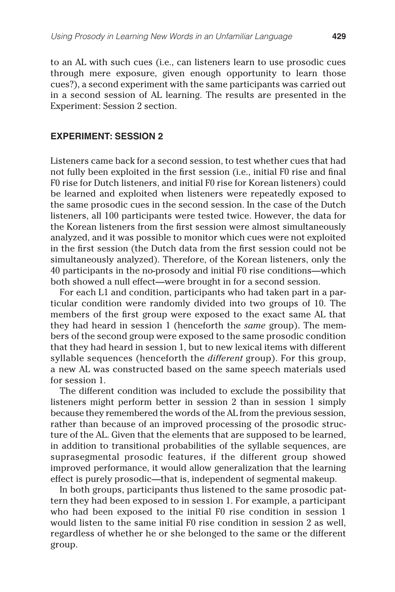to an AL with such cues (i.e., can listeners learn to use prosodic cues through mere exposure, given enough opportunity to learn those cues?), a second experiment with the same participants was carried out in a second session of AL learning. The results are presented in the Experiment: Session 2 section.

#### **EXPERIMENT: SESSION 2**

Listeners came back for a second session, to test whether cues that had not fully been exploited in the first session (i.e., initial F0 rise and final F0 rise for Dutch listeners, and initial F0 rise for Korean listeners) could be learned and exploited when listeners were repeatedly exposed to the same prosodic cues in the second session. In the case of the Dutch listeners, all 100 participants were tested twice. However, the data for the Korean listeners from the first session were almost simultaneously analyzed, and it was possible to monitor which cues were not exploited in the first session (the Dutch data from the first session could not be simultaneously analyzed). Therefore, of the Korean listeners, only the 40 participants in the no-prosody and initial F0 rise conditions—which both showed a null effect—were brought in for a second session.

For each L1 and condition, participants who had taken part in a particular condition were randomly divided into two groups of 10. The members of the first group were exposed to the exact same AL that they had heard in session 1 (henceforth the *same* group). The members of the second group were exposed to the same prosodic condition that they had heard in session 1, but to new lexical items with different syllable sequences (henceforth the *different* group). For this group, a new AL was constructed based on the same speech materials used for session 1.

The different condition was included to exclude the possibility that listeners might perform better in session 2 than in session 1 simply because they remembered the words of the AL from the previous session, rather than because of an improved processing of the prosodic structure of the AL. Given that the elements that are supposed to be learned, in addition to transitional probabilities of the syllable sequences, are suprasegmental prosodic features, if the different group showed improved performance, it would allow generalization that the learning effect is purely prosodic—that is, independent of segmental makeup.

In both groups, participants thus listened to the same prosodic pattern they had been exposed to in session 1. For example, a participant who had been exposed to the initial F0 rise condition in session 1 would listen to the same initial F0 rise condition in session 2 as well, regardless of whether he or she belonged to the same or the different group.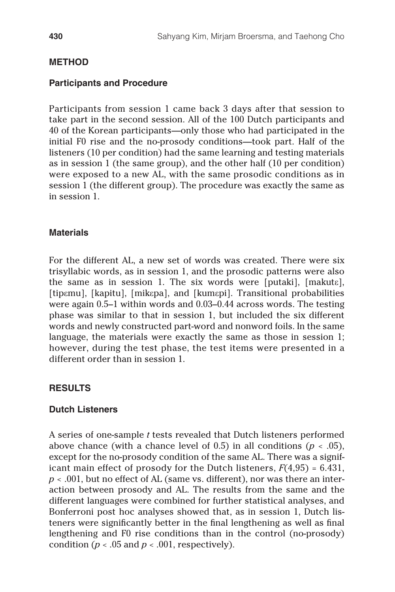## **METHOD**

#### **Participants and Procedure**

Participants from session 1 came back 3 days after that session to take part in the second session. All of the 100 Dutch participants and 40 of the Korean participants—only those who had participated in the initial F0 rise and the no-prosody conditions—took part. Half of the listeners (10 per condition) had the same learning and testing materials as in session 1 (the same group), and the other half (10 per condition) were exposed to a new AL, with the same prosodic conditions as in session 1 (the different group). The procedure was exactly the same as in session 1.

#### **Materials**

For the different AL, a new set of words was created. There were six trisyllabic words, as in session 1, and the prosodic patterns were also the same as in session 1. The six words were [putaki],  $[makute]$ , [tip emu], [kapitu], [mikepa], and [kum epi]. Transitional probabilities were again 0.5–1 within words and 0.03–0.44 across words. The testing phase was similar to that in session 1, but included the six different words and newly constructed part-word and nonword foils. In the same language, the materials were exactly the same as those in session 1; however, during the test phase, the test items were presented in a different order than in session 1.

#### **RESULTS**

#### **Dutch Listeners**

A series of one-sample *t* tests revealed that Dutch listeners performed above chance (with a chance level of  $(0.5)$  in all conditions ( $p < .05$ ), except for the no-prosody condition of the same AL. There was a significant main effect of prosody for the Dutch listeners,  $F(4,95) = 6.431$ , *p* < .001, but no effect of AL (same vs. different), nor was there an interaction between prosody and AL. The results from the same and the different languages were combined for further statistical analyses, and Bonferroni post hoc analyses showed that, as in session 1, Dutch listeners were significantly better in the final lengthening as well as final lengthening and F0 rise conditions than in the control (no-prosody) condition ( $p < .05$  and  $p < .001$ , respectively).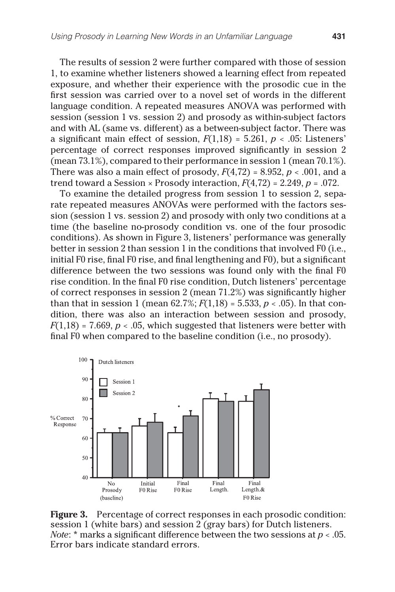The results of session 2 were further compared with those of session 1, to examine whether listeners showed a learning effect from repeated exposure, and whether their experience with the prosodic cue in the first session was carried over to a novel set of words in the different language condition. A repeated measures ANOVA was performed with session (session 1 vs. session 2) and prosody as within-subject factors and with AL (same vs. different) as a between-subject factor. There was a significant main effect of session,  $F(1,18) = 5.261$ ,  $p < .05$ . Listeners' percentage of correct responses improved significantly in session 2 (mean 73.1%), compared to their performance in session 1 (mean 70.1%). There was also a main effect of prosody,  $F(4,72) = 8.952$ ,  $p < .001$ , and a trend toward a Session  $\times$  Prosody interaction,  $F(4,72) = 2.249$ ,  $p = .072$ .

To examine the detailed progress from session 1 to session 2, separate repeated measures ANOVAs were performed with the factors session (session 1 vs. session 2) and prosody with only two conditions at a time (the baseline no-prosody condition vs. one of the four prosodic conditions). As shown in Figure 3 , listeners' performance was generally better in session 2 than session 1 in the conditions that involved F0 (i.e., initial  $F0$  rise, final  $F0$  rise, and final lengthening and  $F0$ ), but a significant difference between the two sessions was found only with the final F0 rise condition. In the final F0 rise condition, Dutch listeners' percentage of correct responses in session 2 (mean  $71.2\%$ ) was significantly higher than that in session 1 (mean  $62.7\%$ ;  $F(1,18) = 5.533$ ,  $p < .05$ ). In that condition, there was also an interaction between session and prosody,  $F(1,18) = 7.669$ ,  $p < 0.05$ , which suggested that listeners were better with final F0 when compared to the baseline condition (i.e., no prosody).



**Figure 3.** Percentage of correct responses in each prosodic condition: session 1 (white bars) and session 2 (gray bars) for Dutch listeners. *Note*:  $*$  marks a significant difference between the two sessions at  $p < .05$ . Error bars indicate standard errors.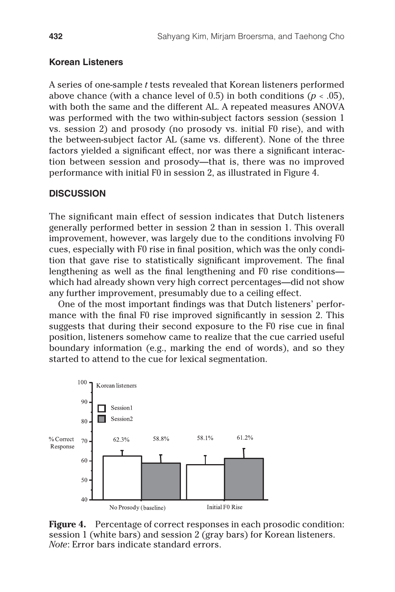## **Korean Listeners**

A series of one-sample *t* tests revealed that Korean listeners performed above chance (with a chance level of  $(0.5)$  in both conditions ( $p < .05$ ), with both the same and the different AL. A repeated measures ANOVA was performed with the two within-subject factors session (session 1 vs. session 2) and prosody (no prosody vs. initial F0 rise), and with the between-subject factor AL (same vs. different). None of the three factors yielded a significant effect, nor was there a significant interaction between session and prosody—that is, there was no improved performance with initial F0 in session 2, as illustrated in Figure 4.

## **DISCUSSION**

The significant main effect of session indicates that Dutch listeners generally performed better in session 2 than in session 1. This overall improvement, however, was largely due to the conditions involving F0 cues, especially with F0 rise in final position, which was the only condition that gave rise to statistically significant improvement. The final lengthening as well as the final lengthening and F0 rise conditions which had already shown very high correct percentages—did not show any further improvement, presumably due to a ceiling effect.

One of the most important findings was that Dutch listeners' performance with the final F0 rise improved significantly in session 2. This suggests that during their second exposure to the F0 rise cue in final position, listeners somehow came to realize that the cue carried useful boundary information (e.g., marking the end of words), and so they started to attend to the cue for lexical segmentation.



**Figure 4.** Percentage of correct responses in each prosodic condition: session 1 (white bars) and session 2 (gray bars) for Korean listeners. *Note*: Error bars indicate standard errors.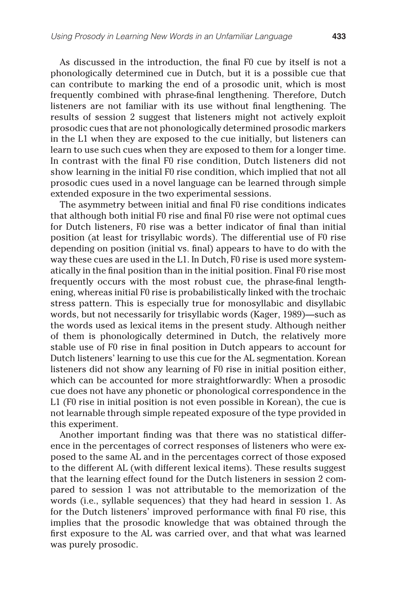As discussed in the introduction, the final F0 cue by itself is not a phonologically determined cue in Dutch, but it is a possible cue that can contribute to marking the end of a prosodic unit, which is most frequently combined with phrase-final lengthening. Therefore, Dutch listeners are not familiar with its use without final lengthening. The results of session 2 suggest that listeners might not actively exploit prosodic cues that are not phonologically determined prosodic markers in the L1 when they are exposed to the cue initially, but listeners can learn to use such cues when they are exposed to them for a longer time. In contrast with the final F0 rise condition, Dutch listeners did not show learning in the initial F0 rise condition, which implied that not all prosodic cues used in a novel language can be learned through simple extended exposure in the two experimental sessions.

The asymmetry between initial and final F0 rise conditions indicates that although both initial F0 rise and final F0 rise were not optimal cues for Dutch listeners, F0 rise was a better indicator of final than initial position (at least for trisyllabic words). The differential use of F0 rise depending on position (initial vs. final) appears to have to do with the way these cues are used in the L1. In Dutch, F0 rise is used more systematically in the final position than in the initial position. Final F0 rise most frequently occurs with the most robust cue, the phrase-final lengthening, whereas initial F0 rise is probabilistically linked with the trochaic stress pattern. This is especially true for monosyllabic and disyllabic words, but not necessarily for trisyllabic words (Kager, 1989)—such as the words used as lexical items in the present study. Although neither of them is phonologically determined in Dutch, the relatively more stable use of F0 rise in final position in Dutch appears to account for Dutch listeners' learning to use this cue for the AL segmentation. Korean listeners did not show any learning of F0 rise in initial position either, which can be accounted for more straightforwardly: When a prosodic cue does not have any phonetic or phonological correspondence in the L1 (F0 rise in initial position is not even possible in Korean), the cue is not learnable through simple repeated exposure of the type provided in this experiment.

Another important finding was that there was no statistical difference in the percentages of correct responses of listeners who were exposed to the same AL and in the percentages correct of those exposed to the different AL (with different lexical items). These results suggest that the learning effect found for the Dutch listeners in session 2 compared to session 1 was not attributable to the memorization of the words (i.e., syllable sequences) that they had heard in session 1. As for the Dutch listeners' improved performance with final F0 rise, this implies that the prosodic knowledge that was obtained through the first exposure to the AL was carried over, and that what was learned was purely prosodic.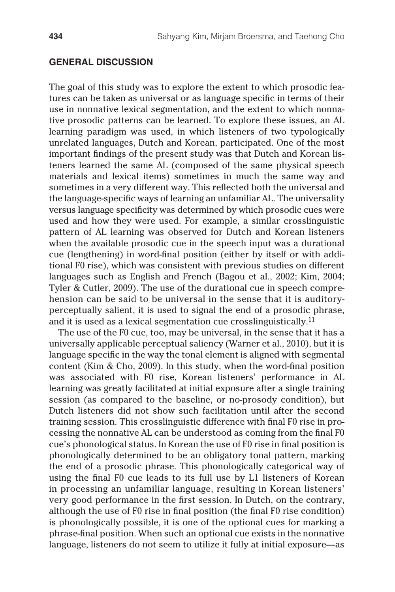#### **GENERAL DISCUSSION**

The goal of this study was to explore the extent to which prosodic features can be taken as universal or as language specific in terms of their use in nonnative lexical segmentation, and the extent to which nonnative prosodic patterns can be learned. To explore these issues, an AL learning paradigm was used, in which listeners of two typologically unrelated languages, Dutch and Korean, participated. One of the most important findings of the present study was that Dutch and Korean listeners learned the same AL (composed of the same physical speech materials and lexical items) sometimes in much the same way and sometimes in a very different way. This reflected both the universal and the language-specific ways of learning an unfamiliar AL. The universality versus language specificity was determined by which prosodic cues were used and how they were used. For example, a similar crosslinguistic pattern of AL learning was observed for Dutch and Korean listeners when the available prosodic cue in the speech input was a durational cue (lengthening) in word-final position (either by itself or with additional F0 rise), which was consistent with previous studies on different languages such as English and French (Bagou et al., 2002; Kim, 2004; Tyler & Cutler, 2009). The use of the durational cue in speech comprehension can be said to be universal in the sense that it is auditoryperceptually salient, it is used to signal the end of a prosodic phrase, and it is used as a lexical segmentation cue crosslinguistically.<sup>11</sup>

The use of the F0 cue, too, may be universal, in the sense that it has a universally applicable perceptual saliency (Warner et al., 2010 ), but it is language specific in the way the tonal element is aligned with segmental content (Kim & Cho, 2009). In this study, when the word-final position was associated with F0 rise, Korean listeners' performance in AL learning was greatly facilitated at initial exposure after a single training session (as compared to the baseline, or no-prosody condition), but Dutch listeners did not show such facilitation until after the second training session. This crosslinguistic difference with final F0 rise in processing the nonnative AL can be understood as coming from the final F0 cue's phonological status. In Korean the use of F0 rise in final position is phonologically determined to be an obligatory tonal pattern, marking the end of a prosodic phrase. This phonologically categorical way of using the final F0 cue leads to its full use by L1 listeners of Korean in processing an unfamiliar language, resulting in Korean listeners' very good performance in the first session. In Dutch, on the contrary, although the use of F0 rise in final position (the final F0 rise condition) is phonologically possible, it is one of the optional cues for marking a phrase-final position. When such an optional cue exists in the nonnative language, listeners do not seem to utilize it fully at initial exposure—as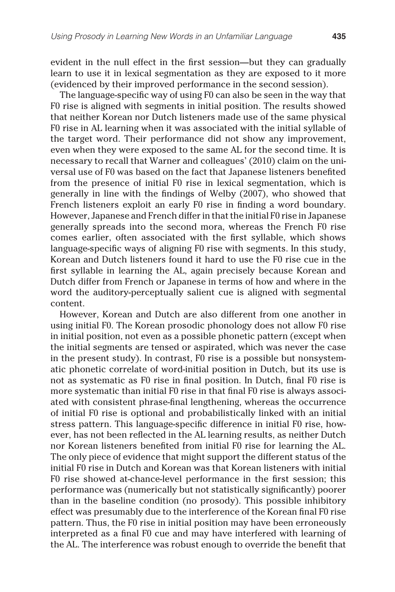evident in the null effect in the first session—but they can gradually learn to use it in lexical segmentation as they are exposed to it more (evidenced by their improved performance in the second session).

The language-specific way of using  $F0$  can also be seen in the way that F0 rise is aligned with segments in initial position. The results showed that neither Korean nor Dutch listeners made use of the same physical F0 rise in AL learning when it was associated with the initial syllable of the target word. Their performance did not show any improvement, even when they were exposed to the same AL for the second time. It is necessary to recall that Warner and colleagues' (2010) claim on the universal use of F0 was based on the fact that Japanese listeners benefited from the presence of initial F0 rise in lexical segmentation, which is generally in line with the findings of Welby (2007), who showed that French listeners exploit an early F0 rise in finding a word boundary. However, Japanese and French differ in that the initial F0 rise in Japanese generally spreads into the second mora, whereas the French F0 rise comes earlier, often associated with the first syllable, which shows language-specific ways of aligning F0 rise with segments. In this study, Korean and Dutch listeners found it hard to use the F0 rise cue in the first syllable in learning the AL, again precisely because Korean and Dutch differ from French or Japanese in terms of how and where in the word the auditory-perceptually salient cue is aligned with segmental content.

However, Korean and Dutch are also different from one another in using initial F0. The Korean prosodic phonology does not allow F0 rise in initial position, not even as a possible phonetic pattern (except when the initial segments are tensed or aspirated, which was never the case in the present study). In contrast, F0 rise is a possible but nonsystematic phonetic correlate of word-initial position in Dutch, but its use is not as systematic as F0 rise in final position. In Dutch, final F0 rise is more systematic than initial F0 rise in that final F0 rise is always associated with consistent phrase-final lengthening, whereas the occurrence of initial F0 rise is optional and probabilistically linked with an initial stress pattern. This language-specific difference in initial F0 rise, however, has not been reflected in the AL learning results, as neither Dutch nor Korean listeners benefited from initial F0 rise for learning the AL. The only piece of evidence that might support the different status of the initial F0 rise in Dutch and Korean was that Korean listeners with initial F0 rise showed at-chance-level performance in the first session; this performance was (numerically but not statistically significantly) poorer than in the baseline condition (no prosody). This possible inhibitory effect was presumably due to the interference of the Korean final F0 rise pattern. Thus, the F0 rise in initial position may have been erroneously interpreted as a final F0 cue and may have interfered with learning of the AL. The interference was robust enough to override the benefit that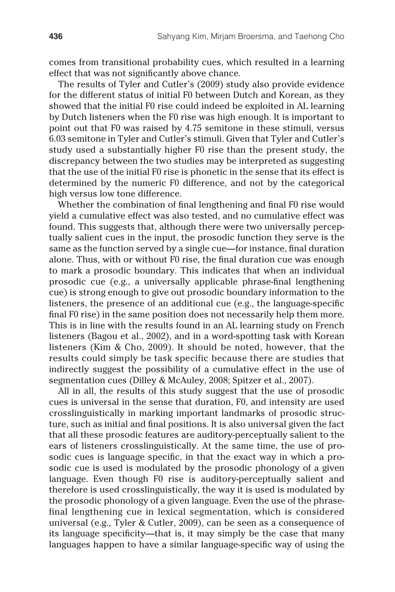comes from transitional probability cues, which resulted in a learning effect that was not significantly above chance.

The results of Tyler and Cutler's (2009) study also provide evidence for the different status of initial F0 between Dutch and Korean, as they showed that the initial F0 rise could indeed be exploited in AL learning by Dutch listeners when the F0 rise was high enough. It is important to point out that F0 was raised by 4.75 semitone in these stimuli, versus 6.03 semitone in Tyler and Cutler's stimuli. Given that Tyler and Cutler's study used a substantially higher F0 rise than the present study, the discrepancy between the two studies may be interpreted as suggesting that the use of the initial F0 rise is phonetic in the sense that its effect is determined by the numeric F0 difference, and not by the categorical high versus low tone difference.

Whether the combination of final lengthening and final F0 rise would yield a cumulative effect was also tested, and no cumulative effect was found. This suggests that, although there were two universally perceptually salient cues in the input, the prosodic function they serve is the same as the function served by a single cue—for instance, final duration alone. Thus, with or without F0 rise, the final duration cue was enough to mark a prosodic boundary. This indicates that when an individual prosodic cue (e.g., a universally applicable phrase-final lengthening cue) is strong enough to give out prosodic boundary information to the listeners, the presence of an additional cue  $(e.g., the language-specific)$ final F0 rise) in the same position does not necessarily help them more. This is in line with the results found in an AL learning study on French listeners (Bagou et al., 2002), and in a word-spotting task with Korean listeners (Kim & Cho, 2009). It should be noted, however, that the results could simply be task specific because there are studies that indirectly suggest the possibility of a cumulative effect in the use of segmentation cues (Dilley & McAuley, 2008; Spitzer et al., 2007).

All in all, the results of this study suggest that the use of prosodic cues is universal in the sense that duration, F0, and intensity are used crosslinguistically in marking important landmarks of prosodic structure, such as initial and final positions. It is also universal given the fact that all these prosodic features are auditory-perceptually salient to the ears of listeners crosslinguistically. At the same time, the use of prosodic cues is language specific, in that the exact way in which a prosodic cue is used is modulated by the prosodic phonology of a given language. Even though F0 rise is auditory-perceptually salient and therefore is used crosslinguistically, the way it is used is modulated by the prosodic phonology of a given language. Even the use of the phrasefinal lengthening cue in lexical segmentation, which is considered universal (e.g., Tyler & Cutler, 2009 ), can be seen as a consequence of its language specificity—that is, it may simply be the case that many languages happen to have a similar language-specific way of using the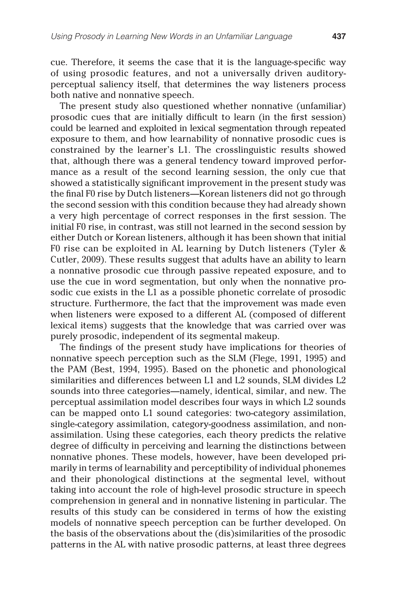cue. Therefore, it seems the case that it is the language-specific way of using prosodic features, and not a universally driven auditoryperceptual saliency itself, that determines the way listeners process both native and nonnative speech.

The present study also questioned whether nonnative (unfamiliar) prosodic cues that are initially difficult to learn (in the first session) could be learned and exploited in lexical segmentation through repeated exposure to them, and how learnability of nonnative prosodic cues is constrained by the learner's L1. The crosslinguistic results showed that, although there was a general tendency toward improved performance as a result of the second learning session, the only cue that showed a statistically significant improvement in the present study was the final F0 rise by Dutch listeners—Korean listeners did not go through the second session with this condition because they had already shown a very high percentage of correct responses in the first session. The initial F0 rise, in contrast, was still not learned in the second session by either Dutch or Korean listeners, although it has been shown that initial F0 rise can be exploited in AL learning by Dutch listeners (Tyler & Cutler, 2009). These results suggest that adults have an ability to learn a nonnative prosodic cue through passive repeated exposure, and to use the cue in word segmentation, but only when the nonnative prosodic cue exists in the L1 as a possible phonetic correlate of prosodic structure. Furthermore, the fact that the improvement was made even when listeners were exposed to a different AL (composed of different lexical items) suggests that the knowledge that was carried over was purely prosodic, independent of its segmental makeup.

The findings of the present study have implications for theories of nonnative speech perception such as the SLM (Flege, 1991, 1995) and the PAM (Best, 1994, 1995). Based on the phonetic and phonological similarities and differences between L1 and L2 sounds, SLM divides L2 sounds into three categories—namely, identical, similar, and new. The perceptual assimilation model describes four ways in which L2 sounds can be mapped onto L1 sound categories: two-category assimilation, single-category assimilation, category-goodness assimilation, and nonassimilation. Using these categories, each theory predicts the relative degree of difficulty in perceiving and learning the distinctions between nonnative phones. These models, however, have been developed primarily in terms of learnability and perceptibility of individual phonemes and their phonological distinctions at the segmental level, without taking into account the role of high-level prosodic structure in speech comprehension in general and in nonnative listening in particular. The results of this study can be considered in terms of how the existing models of nonnative speech perception can be further developed. On the basis of the observations about the (dis)similarities of the prosodic patterns in the AL with native prosodic patterns, at least three degrees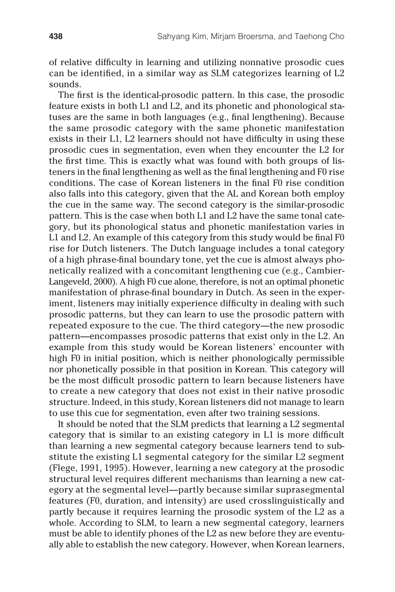of relative difficulty in learning and utilizing nonnative prosodic cues can be identified, in a similar way as SLM categorizes learning of L2 sounds.

The first is the identical-prosodic pattern. In this case, the prosodic feature exists in both L1 and L2, and its phonetic and phonological statuses are the same in both languages (e.g., final lengthening). Because the same prosodic category with the same phonetic manifestation exists in their L1, L2 learners should not have difficulty in using these prosodic cues in segmentation, even when they encounter the L2 for the first time. This is exactly what was found with both groups of listeners in the final lengthening as well as the final lengthening and F0 rise conditions. The case of Korean listeners in the final F0 rise condition also falls into this category, given that the AL and Korean both employ the cue in the same way. The second category is the similar-prosodic pattern. This is the case when both L1 and L2 have the same tonal category, but its phonological status and phonetic manifestation varies in L1 and L2. An example of this category from this study would be final  $F0$ rise for Dutch listeners. The Dutch language includes a tonal category of a high phrase-final boundary tone, yet the cue is almost always phonetically realized with a concomitant lengthening cue (e.g., Cambier-Langeveld, 2000). A high F0 cue alone, therefore, is not an optimal phonetic manifestation of phrase-final boundary in Dutch. As seen in the experiment, listeners may initially experience difficulty in dealing with such prosodic patterns, but they can learn to use the prosodic pattern with repeated exposure to the cue. The third category—the new prosodic pattern—encompasses prosodic patterns that exist only in the L2. An example from this study would be Korean listeners' encounter with high F0 in initial position, which is neither phonologically permissible nor phonetically possible in that position in Korean. This category will be the most difficult prosodic pattern to learn because listeners have to create a new category that does not exist in their native prosodic structure. Indeed, in this study, Korean listeners did not manage to learn to use this cue for segmentation, even after two training sessions.

It should be noted that the SLM predicts that learning a L2 segmental category that is similar to an existing category in L1 is more difficult than learning a new segmental category because learners tend to substitute the existing L1 segmental category for the similar L2 segment (Flege, 1991, 1995). However, learning a new category at the prosodic structural level requires different mechanisms than learning a new category at the segmental level—partly because similar suprasegmental features (F0, duration, and intensity) are used crosslinguistically and partly because it requires learning the prosodic system of the L2 as a whole. According to SLM, to learn a new segmental category, learners must be able to identify phones of the L2 as new before they are eventually able to establish the new category. However, when Korean learners,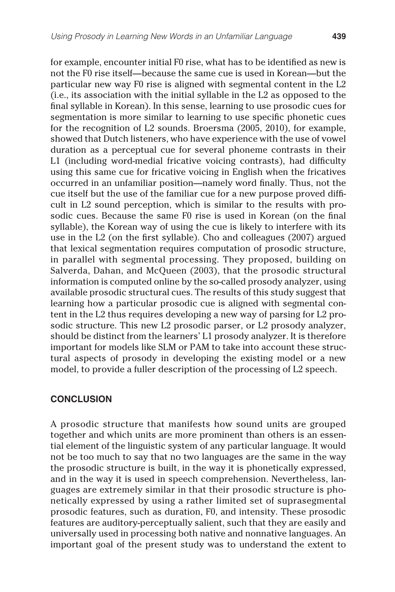for example, encounter initial F0 rise, what has to be identified as new is not the F0 rise itself—because the same cue is used in Korean—but the particular new way F0 rise is aligned with segmental content in the L2 (i.e., its association with the initial syllable in the L2 as opposed to the final syllable in Korean). In this sense, learning to use prosodic cues for segmentation is more similar to learning to use specific phonetic cues for the recognition of L2 sounds. Broersma (2005, 2010), for example, showed that Dutch listeners, who have experience with the use of vowel duration as a perceptual cue for several phoneme contrasts in their L1 (including word-medial fricative voicing contrasts), had difficulty using this same cue for fricative voicing in English when the fricatives occurred in an unfamiliar position—namely word finally. Thus, not the cue itself but the use of the familiar cue for a new purpose proved difficult in L2 sound perception, which is similar to the results with prosodic cues. Because the same F0 rise is used in Korean (on the final syllable), the Korean way of using the cue is likely to interfere with its use in the  $L2$  (on the first syllable). Cho and colleagues (2007) argued that lexical segmentation requires computation of prosodic structure, in parallel with segmental processing. They proposed, building on Salverda, Dahan, and McQueen (2003), that the prosodic structural information is computed online by the so-called prosody analyzer, using available prosodic structural cues. The results of this study suggest that learning how a particular prosodic cue is aligned with segmental content in the L2 thus requires developing a new way of parsing for L2 prosodic structure. This new L2 prosodic parser, or L2 prosody analyzer, should be distinct from the learners' L1 prosody analyzer. It is therefore important for models like SLM or PAM to take into account these structural aspects of prosody in developing the existing model or a new model, to provide a fuller description of the processing of L2 speech.

#### **CONCLUSION**

A prosodic structure that manifests how sound units are grouped together and which units are more prominent than others is an essential element of the linguistic system of any particular language. It would not be too much to say that no two languages are the same in the way the prosodic structure is built, in the way it is phonetically expressed, and in the way it is used in speech comprehension. Nevertheless, languages are extremely similar in that their prosodic structure is phonetically expressed by using a rather limited set of suprasegmental prosodic features, such as duration, F0, and intensity. These prosodic features are auditory-perceptually salient, such that they are easily and universally used in processing both native and nonnative languages. An important goal of the present study was to understand the extent to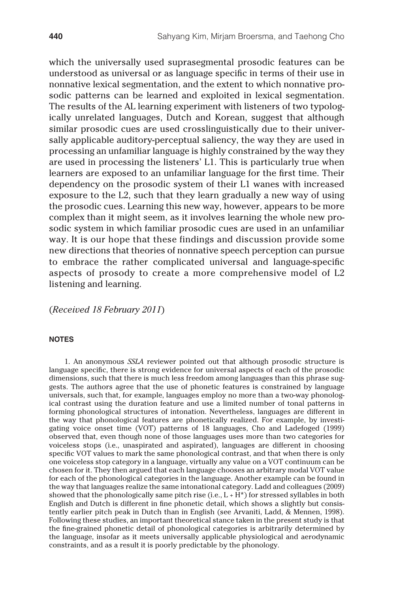which the universally used suprasegmental prosodic features can be understood as universal or as language specific in terms of their use in nonnative lexical segmentation, and the extent to which nonnative prosodic patterns can be learned and exploited in lexical segmentation. The results of the AL learning experiment with listeners of two typologically unrelated languages, Dutch and Korean, suggest that although similar prosodic cues are used crosslinguistically due to their universally applicable auditory-perceptual saliency, the way they are used in processing an unfamiliar language is highly constrained by the way they are used in processing the listeners' L1. This is particularly true when learners are exposed to an unfamiliar language for the first time. Their dependency on the prosodic system of their L1 wanes with increased exposure to the L2, such that they learn gradually a new way of using the prosodic cues. Learning this new way, however, appears to be more complex than it might seem, as it involves learning the whole new prosodic system in which familiar prosodic cues are used in an unfamiliar way. It is our hope that these findings and discussion provide some new directions that theories of nonnative speech perception can pursue to embrace the rather complicated universal and language-specific aspects of prosody to create a more comprehensive model of L2 listening and learning.

(*Received 18 February 2011* )

#### **NOTES**

1. An anonymous *SSLA* reviewer pointed out that although prosodic structure is language specific, there is strong evidence for universal aspects of each of the prosodic dimensions, such that there is much less freedom among languages than this phrase suggests. The authors agree that the use of phonetic features is constrained by language universals, such that, for example, languages employ no more than a two-way phonological contrast using the duration feature and use a limited number of tonal patterns in forming phonological structures of intonation. Nevertheless, languages are different in the way that phonological features are phonetically realized. For example, by investigating voice onset time (VOT) patterns of 18 languages, Cho and Ladefoged ( 1999 ) observed that, even though none of those languages uses more than two categories for voiceless stops (i.e., unaspirated and aspirated), languages are different in choosing specific VOT values to mark the same phonological contrast, and that when there is only one voiceless stop category in a language, virtually any value on a VOT continuum can be chosen for it. They then argued that each language chooses an arbitrary modal VOT value for each of the phonological categories in the language. Another example can be found in the way that languages realize the same intonational category. Ladd and colleagues (2009) showed that the phonologically same pitch rise (i.e.,  $L + H^*$ ) for stressed syllables in both English and Dutch is different in fine phonetic detail, which shows a slightly but consistently earlier pitch peak in Dutch than in English (see Arvaniti, Ladd, & Mennen, 1998). Following these studies, an important theoretical stance taken in the present study is that the fine-grained phonetic detail of phonological categories is arbitrarily determined by the language, insofar as it meets universally applicable physiological and aerodynamic constraints, and as a result it is poorly predictable by the phonology.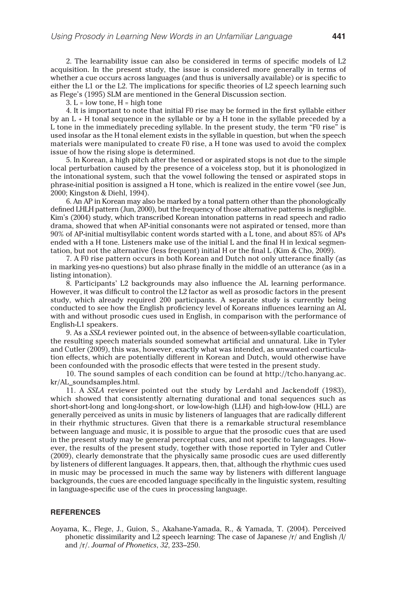2. The learnability issue can also be considered in terms of specific models of L2 acquisition. In the present study, the issue is considered more generally in terms of whether a cue occurs across languages (and thus is universally available) or is specific to either the L1 or the L2. The implications for specific theories of L2 speech learning such as Flege's (1995) SLM are mentioned in the General Discussion section.

 $3. L =$  low tone,  $H =$  high tone

4. It is important to note that initial F0 rise may be formed in the first syllable either by an L + H tonal sequence in the syllable or by a H tone in the syllable preceded by a L tone in the immediately preceding syllable. In the present study, the term "F0 rise" is used insofar as the H tonal element exists in the syllable in question, but when the speech materials were manipulated to create F0 rise, a H tone was used to avoid the complex issue of how the rising slope is determined.

5. In Korean, a high pitch after the tensed or aspirated stops is not due to the simple local perturbation caused by the presence of a voiceless stop, but it is phonologized in the intonational system, such that the vowel following the tensed or aspirated stops in phrase-initial position is assigned a H tone, which is realized in the entire vowel (see Jun, 2000; Kingston & Diehl, 1994).

6. An AP in Korean may also be marked by a tonal pattern other than the phonologically defined LHLH pattern (Jun, 2000), but the frequency of those alternative patterns is negligible. Kim's (2004) study, which transcribed Korean intonation patterns in read speech and radio drama, showed that when AP-initial consonants were not aspirated or tensed, more than 90% of AP-initial multisyllabic content words started with a L tone, and about 85% of APs ended with a H tone. Listeners make use of the initial  $L$  and the final H in lexical segmentation, but not the alternative (less frequent) initial H or the final L (Kim & Cho, 2009).

7. A F0 rise pattern occurs in both Korean and Dutch not only utterance finally (as in marking yes-no questions) but also phrase finally in the middle of an utterance (as in a listing intonation).

8. Participants' L2 backgrounds may also influence the AL learning performance. However, it was difficult to control the L2 factor as well as prosodic factors in the present study, which already required 200 participants. A separate study is currently being conducted to see how the English proficiency level of Koreans influences learning an AL with and without prosodic cues used in English, in comparison with the performance of English-L1 speakers.

9. As a *SSLA* reviewer pointed out, in the absence of between-syllable coarticulation, the resulting speech materials sounded somewhat artificial and unnatural. Like in Tyler and Cutler (2009), this was, however, exactly what was intended, as unwanted coarticulation effects, which are potentially different in Korean and Dutch, would otherwise have been confounded with the prosodic effects that were tested in the present study.

10. The sound samples of each condition can be found at http://tcho.hanyang.ac. kr/AL\_soundsamples.html.

11. A *SSLA* reviewer pointed out the study by Lerdahl and Jackendoff (1983), which showed that consistently alternating durational and tonal sequences such as short-short-long and long-long-short, or low-low-high (LLH) and high-low-low (HLL) are generally perceived as units in music by listeners of languages that are radically different in their rhythmic structures. Given that there is a remarkable structural resemblance between language and music, it is possible to argue that the prosodic cues that are used in the present study may be general perceptual cues, and not specific to languages. However, the results of the present study, together with those reported in Tyler and Cutler ( 2009 ), clearly demonstrate that the physically same prosodic cues are used differently by listeners of different languages. It appears, then, that, although the rhythmic cues used in music may be processed in much the same way by listeners with different language backgrounds, the cues are encoded language specifically in the linguistic system, resulting in language-specific use of the cues in processing language.

#### **REFERENCES**

Aoyama, K., Flege, J., Guion, S., Akahane-Yamada, R., & Yamada, T. (2004). Perceived phonetic dissimilarity and L2 speech learning: The case of Japanese /r/ and English /l/ and /r/ . *Journal of Phonetics*, *32*, 233 – 250 .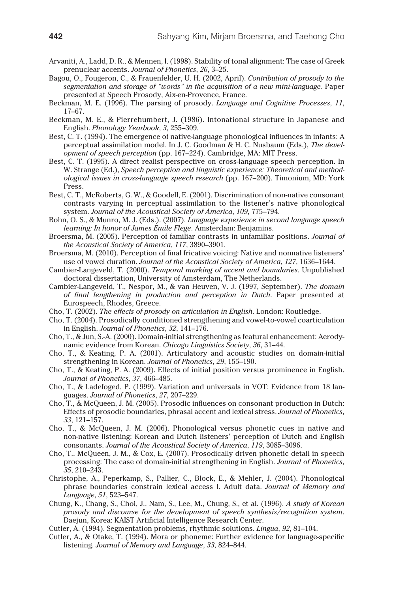- Arvaniti, A., Ladd, D. R., & Mennen, I. (1998). Stability of tonal alignment: The case of Greek prenuclear accents. *Journal of Phonetics*, 26, 3-25.
- Bagou , O. , Fougeron , C. , & Frauenfelder , U. H . ( 2002 , April). *Contribution of prosody to the segmentation and storage of "words" in the acquisition of a new mini-language*. Paper presented at Speech Prosody, Aix-en-Provence, France.
- Beckman, M. E. (1996). The parsing of prosody. *Language and Cognitive Processes*, 11,  $17 - 67$ .
- Beckman, M. E., & Pierrehumbert, J. (1986). Intonational structure in Japanese and English. *Phonology Yearbook*, 3, 255-309.
- Best, C. T. (1994). The emergence of native-language phonological influences in infants: A perceptual assimilation model . In J. C. Goodman& H. C. Nusbaum(Eds.), *The development of speech perception* (pp. 167–224). Cambridge, MA: MIT Press.
- Best, C. T. (1995). A direct realist perspective on cross-language speech perception. In W. Strange (Ed.), *Speech perception and linguistic experience: Theoretical and methodological issues in cross-language speech research* (pp. 167-200). Timonium, MD: York Press.
- Best, C. T., McRoberts, G. W., & Goodell, E. (2001). Discrimination of non-native consonant contrasts varying in perceptual assimilation to the listener's native phonological system. *Journal of the Acoustical Society of America*, 109, 775-794.
- Bohn , O. S. , & Munro , M. J . (Eds.). ( 2007 ). *Language experience in second language speech learning: In honor of James Emile Flege.* Amsterdam: Benjamins.
- Broersma , M.( 2005 ). Perception of familiar contrasts in unfamiliar positions . *Journal of the Acoustical Society of America, 117, 3890-3901.*
- Broersma, M. (2010). Perception of final fricative voicing: Native and nonnative listeners' use of vowel duration. *Journal of the Acoustical Society of America*, 127, 1636–1644.
- Cambier-Langeveld , T.( 2000 ). *Temporal marking of accent and boundaries*. Unpublished doctoral dissertation, University of Amsterdam, The Netherlands.
- Cambier-Langeveld, T., Nespor, M., & van Heuven, V. J. (1997, September). *The domain of final lengthening in production and perception in Dutch*. Paper presented at Eurospeech, Rhodes, Greece.
- Cho, T. (2002). *The effects of prosody on articulation in English*. London: Routledge.
- Cho , T.( 2004 ). Prosodically conditioned strengthening and vowel-to-vowel coarticulation in English. *Journal of Phonetics*, 32, 141-176.
- Cho, T., & Jun, S.-A. (2000). Domain-initial strengthening as featural enhancement: Aerodynamic evidence from Korean. *Chicago Linguistics Society*, 36, 31–44.
- Cho, T., & Keating, P. A. (2001). Articulatory and acoustic studies on domain-initial strengthening in Korean. Journal of Phonetics, 29, 155-190.
- Cho, T., & Keating, P. A. (2009). Effects of initial position versus prominence in English. *Journal of Phonetics*, *37*, 466 – 485 .
- Cho, T., & Ladefoged, P. (1999). Variation and universals in VOT: Evidence from 18 languages. Journal of Phonetics, 27, 207-229.
- Cho, T., & McQueen, J. M. (2005). Prosodic influences on consonant production in Dutch: Effects of prosodic boundaries, phrasal accent and lexical stress . *Journal of Phonetics*, *33*, 121 – 157 .
- Cho, T., & McQueen, J. M. (2006). Phonological versus phonetic cues in native and non-native listening: Korean and Dutch listeners' perception of Dutch and English consonants. Journal of the Acoustical Society of America, 119, 3085-3096.
- Cho, T., McQueen, J. M., & Cox, E. (2007). Prosodically driven phonetic detail in speech processing: The case of domain-initial strengthening in English . *Journal of Phonetics*, 35, 210-243.
- Christophe, A., Peperkamp, S., Pallier, C., Block, E., & Mehler, J. (2004). Phonological phrase boundaries constrain lexical access I. Adult data . *Journal of Memory and Language*, *51*, 523 – 547 .
- Chung , K. , Chang , S. , Choi , J. , Nam , S. , Lee , M. , Chung , S. , et al . ( 1996 ). *A study of Korean prosody and discourse for the development of speech synthesis/recognition system*. Daejun, Korea: KAIST Artificial Intelligence Research Center.
- Cutler, A. (1994). Segmentation problems, rhythmic solutions. *Lingua*, 92, 81–104.
- Cutler, A., & Otake, T. (1994). Mora or phoneme: Further evidence for language-specific listening. *Journal of Memory and Language*, 33, 824–844.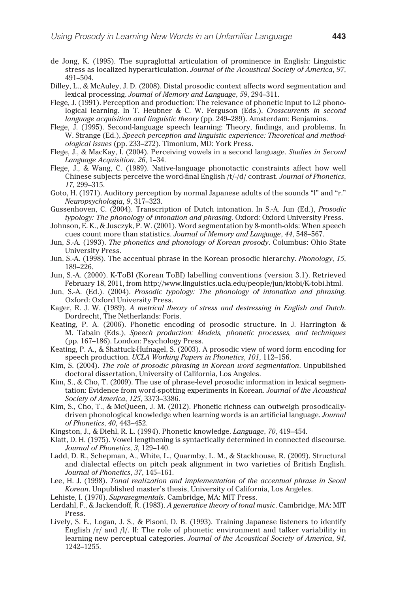- de Jong, K. (1995). The supraglottal articulation of prominence in English: Linguistic stress as localized hyperarticulation . *Journal of the Acoustical Society of America*, *97*, 491-504.
- Dilley, L., & McAuley, J. D. (2008). Distal prosodic context affects word segmentation and lexical processing. *Journal of Memory and Language*, 59, 294-311.
- Flege, J. (1991). Perception and production: The relevance of phonetic input to L2 phonological learning. In T. Heubner & C. W. Ferguson (Eds.), *Crosscurrents in second language acquisition and linguistic theory* (pp. 249-289). Amsterdam: Benjamins.
- Flege, J. (1995). Second-language speech learning: Theory, findings, and problems. In W. Strange (Ed.), *Speech perception and linguistic experience: Theoretical and methodological issues* (pp. 233–272). Timonium, MD: York Press.
- Flege , J. , & MacKay , I.( 2004 ). Perceiving vowels in a second language . *Studies in Second Language Acquisition, 26, 1-34.*
- Flege, J., & Wang, C. (1989). Native-language phonotactic constraints affect how well Chinese subjects perceive the word-final English /t/-/d/ contrast. *Journal of Phonetics*, *17*, 299–315.
- Goto, H. (1971). Auditory perception by normal Japanese adults of the sounds "l" and "r." *Neuropsychologia*, *9*, 317 – 323 .
- Gussenhoven, C. (2004). Transcription of Dutch intonation. In S.-A. Jun (Ed.), *Prosodic typology: The phonology of intonation and phrasing*. Oxford : Oxford University Press .
- Johnson , E. K. , & Jusczyk , P. W . ( 2001 ). Word segmentation by 8-month-olds: When speech cues count more than statistics. Journal of Memory and Language, 44, 548-567.
- Jun , S.-A.( 1993 ). *The phonetics and phonology of Korean prosody*. Columbus : Ohio State University Press .
- Jun, S.-A. (1998). The accentual phrase in the Korean prosodic hierarchy. *Phonology*, 15, 189-226.
- Jun, S.-A. (2000). K-ToBI (Korean ToBI) labelling conventions (version 3.1). Retrieved February 18, 2011, from http://www.linguistics.ucla.edu/people/jun/ktobi/K-tobi.html.
- Jun, S.-A. (Ed.). ( 2004). *Prosodic typology: The phonology of intonation and phrasing*. Oxford: Oxford University Press.
- Kager, R. J. W. (1989). *A metrical theory of stress and destressing in English and Dutch*. Dordrecht, The Netherlands: Foris.
- Keating, P. A. (2006). Phonetic encoding of prosodic structure. In J. Harrington & M. Tabain(Eds.), *Speech production: Models, phonetic processes, and techniques* (pp. 167–186). London: Psychology Press.
- Keating, P. A., & Shattuck-Hufnagel, S. (2003). A prosodic view of word form encoding for speech production. UCLA Working Papers in Phonetics, 101, 112-156.
- Kim , S.( 2004 ). *The role of prosodic phrasing in Korean word segmentation*. Unpublished doctoral dissertation, University of California, Los Angeles.
- Kim, S., & Cho, T. (2009). The use of phrase-level prosodic information in lexical segmentation: Evidence from word-spotting experiments in Korean . *Journal of the Acoustical Society of America*, *125*, 3373 – 3386 .
- Kim, S., Cho, T., & McQueen, J. M. (2012). Phonetic richness can outweigh prosodicallydriven phonological knowledge when learning words is an artifi cial language . *Journal of Phonetics*, *40*, 443 – 452 .
- Kingston, J., & Diehl, R. L. (1994). Phonetic knowledge. *Language*, 70, 419-454.
- Klatt, D. H. (1975). Vowel lengthening is syntactically determined in connected discourse. *Journal of Phonetics*, 3, 129-140.
- Ladd, D. R., Schepman, A., White, L., Quarmby, L. M., & Stackhouse, R. (2009). Structural and dialectal effects on pitch peak alignment in two varieties of British English . *Journal of Phonetics*, *37*, 145 – 161 .
- Lee, H. J. (1998). *Tonal realization and implementation of the accentual phrase in Seoul Korean*. Unpublished master's thesis, University of California, Los Angeles.
- Lehiste, I. (1970). *Suprasegmentals*. Cambridge, MA: MIT Press.
- Lerdahl, F., & Jackendoff, R. (1983). *A generative theory of tonal music*. Cambridge, MA: MIT Press.
- Lively, S. E., Logan, J. S., & Pisoni, D. B. (1993). Training Japanese listeners to identify English /r/ and /l/. II: The role of phonetic environment and talker variability in learning new perceptual categories . *Journal of the Acoustical Society of America*, *94*, 1242-1255.